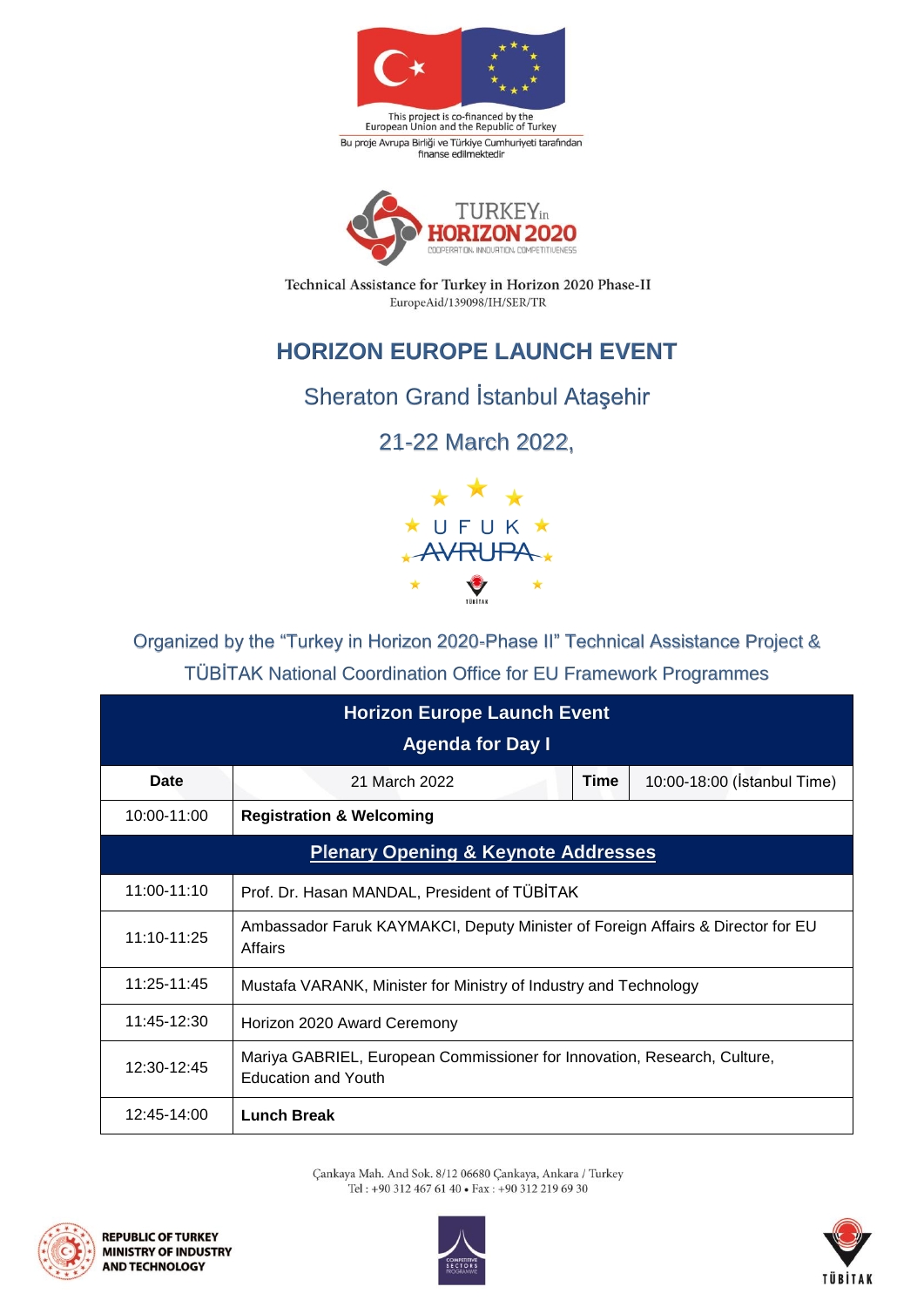

This project is co-financed by the<br>European Union and the Republic of Turkey Bu proje Avrupa Birliği ve Türkiye Cumhuriyeti tarafından<br>finanse edilmektedir



Technical Assistance for Turkey in Horizon 2020 Phase-II EuropeAid/139098/IH/SER/TR

## **HORIZON EUROPE LAUNCH EVENT**

## Sheraton Grand İstanbul Ataşehir

21-22 March 2022,



Organized by the "Turkey in Horizon 2020-Phase II" Technical Assistance Project & TÜBİTAK National Coordination Office for EU Framework Programmes

| <b>Horizon Europe Launch Event</b><br><b>Agenda for Day I</b> |                                                                                                        |      |                             |  |
|---------------------------------------------------------------|--------------------------------------------------------------------------------------------------------|------|-----------------------------|--|
| <b>Date</b>                                                   | 21 March 2022                                                                                          | Time | 10:00-18:00 (Istanbul Time) |  |
| 10:00-11:00                                                   | <b>Registration &amp; Welcoming</b>                                                                    |      |                             |  |
| <b>Plenary Opening &amp; Keynote Addresses</b>                |                                                                                                        |      |                             |  |
| 11:00-11:10                                                   | Prof. Dr. Hasan MANDAL, President of TÜBİTAK                                                           |      |                             |  |
| 11:10-11:25                                                   | Ambassador Faruk KAYMAKCI, Deputy Minister of Foreign Affairs & Director for EU<br>Affairs             |      |                             |  |
| 11:25-11:45                                                   | Mustafa VARANK, Minister for Ministry of Industry and Technology                                       |      |                             |  |
| 11:45-12:30                                                   | Horizon 2020 Award Ceremony                                                                            |      |                             |  |
| 12:30-12:45                                                   | Mariya GABRIEL, European Commissioner for Innovation, Research, Culture,<br><b>Education and Youth</b> |      |                             |  |
| 12:45-14:00                                                   | <b>Lunch Break</b>                                                                                     |      |                             |  |

Çankaya Mah. And Sok. 8/12 06680 Çankaya, Ankara / Turkey Tel: +90 312 467 61 40 • Fax: +90 312 219 69 30





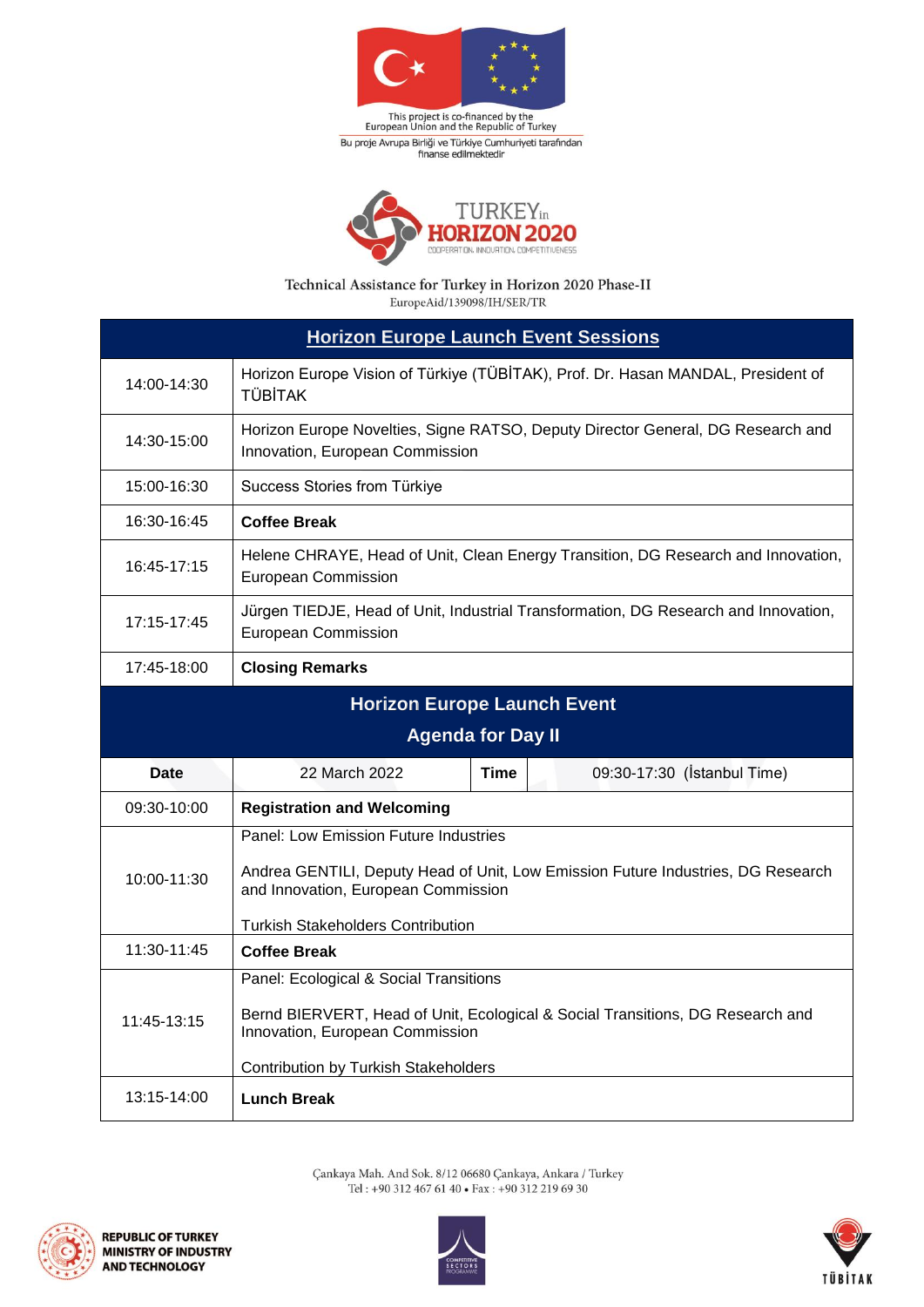

This project is co-financed by the<br>European Union and the Republic of Turkey Bu proje Avrupa Birliği ve Türkiye Cumhuriyeti tarafından<br>finanse edilmektedir



Technical Assistance for Turkey in Horizon 2020 Phase-II EuropeAid/139098/IH/SER/TR

| <b>Horizon Europe Launch Event Sessions</b> |                                                                                                                                                                                                              |  |  |
|---------------------------------------------|--------------------------------------------------------------------------------------------------------------------------------------------------------------------------------------------------------------|--|--|
| 14:00-14:30                                 | Horizon Europe Vision of Türkiye (TÜBİTAK), Prof. Dr. Hasan MANDAL, President of<br><b>TÜBİTAK</b>                                                                                                           |  |  |
| 14:30-15:00                                 | Horizon Europe Novelties, Signe RATSO, Deputy Director General, DG Research and<br>Innovation, European Commission                                                                                           |  |  |
| 15:00-16:30                                 | Success Stories from Türkiye                                                                                                                                                                                 |  |  |
| 16:30-16:45                                 | <b>Coffee Break</b>                                                                                                                                                                                          |  |  |
| 16:45-17:15                                 | Helene CHRAYE, Head of Unit, Clean Energy Transition, DG Research and Innovation,<br><b>European Commission</b>                                                                                              |  |  |
| 17:15-17:45                                 | Jürgen TIEDJE, Head of Unit, Industrial Transformation, DG Research and Innovation,<br><b>European Commission</b>                                                                                            |  |  |
| 17:45-18:00                                 | <b>Closing Remarks</b>                                                                                                                                                                                       |  |  |
| <b>Horizon Europe Launch Event</b>          |                                                                                                                                                                                                              |  |  |
| <b>Agenda for Day II</b>                    |                                                                                                                                                                                                              |  |  |
| Date                                        | 22 March 2022<br>09:30-17:30 (İstanbul Time)<br><b>Time</b>                                                                                                                                                  |  |  |
| 09:30-10:00                                 | <b>Registration and Welcoming</b>                                                                                                                                                                            |  |  |
| 10:00-11:30                                 | Panel: Low Emission Future Industries<br>Andrea GENTILI, Deputy Head of Unit, Low Emission Future Industries, DG Research<br>and Innovation, European Commission<br><b>Turkish Stakeholders Contribution</b> |  |  |
| 11:30-11:45                                 | <b>Coffee Break</b>                                                                                                                                                                                          |  |  |
| 11:45-13:15                                 | Panel: Ecological & Social Transitions<br>Bernd BIERVERT, Head of Unit, Ecological & Social Transitions, DG Research and<br>Innovation, European Commission<br><b>Contribution by Turkish Stakeholders</b>   |  |  |
| 13:15-14:00                                 | <b>Lunch Break</b>                                                                                                                                                                                           |  |  |

Çankaya Mah. And Sok. 8/12 06680 Çankaya, Ankara / Turkey Tel : +90 312 467 61 40 • Fax : +90 312 219 69 30